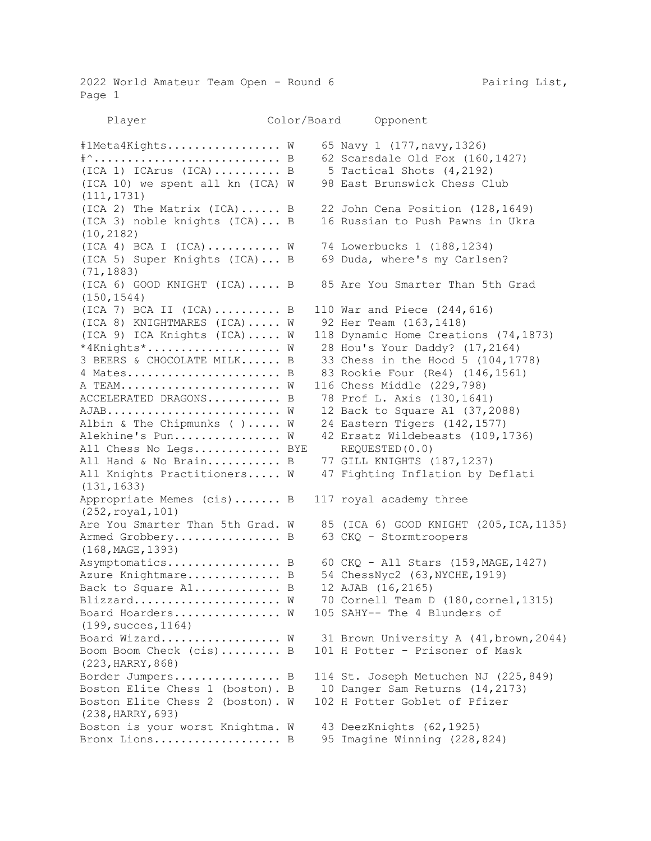2022 World Amateur Team Open - Round 6 Pairing List, Page 1 Player Color/Board Opponent #1Meta4Kights................. W 65 Navy 1 (177,navy,1326) #^............................ B 62 Scarsdale Old Fox (160,1427) (ICA 1) ICArus  $(ICA)$ .......... B 5 Tactical Shots  $(4,2192)$ (ICA 10) we spent all kn (ICA) W 98 East Brunswick Chess Club (111,1731) (ICA 2) The Matrix (ICA)...... B 22 John Cena Position (128,1649) (ICA 3) noble knights (ICA)... B 16 Russian to Push Pawns in Ukra (10,2182) (ICA 4) BCA I (ICA)........... W 74 Lowerbucks 1 (188,1234) (ICA 5) Super Knights (ICA)... B 69 Duda, where's my Carlsen? (71,1883) (ICA 6) GOOD KNIGHT (ICA)..... B 85 Are You Smarter Than 5th Grad (150,1544) (ICA 7) BCA II (ICA)........... B 110 War and Piece  $(244, 616)$ (ICA 8) KNIGHTMARES (ICA)..... W 92 Her Team (163,1418) (ICA 9) ICA Knights (ICA)..... W 118 Dynamic Home Creations (74,1873) \*4Knights\*.................... W 28 Hou's Your Daddy? (17,2164) 3 BEERS & CHOCOLATE MILK...... B 33 Chess in the Hood 5 (104,1778) 4 Mates....................... B 83 Rookie Four (Re4) (146,1561) A TEAM........................ W 116 Chess Middle (229,798) ACCELERATED DRAGONS.......... B 78 Prof L. Axis (130,1641) AJAB.......................... W 12 Back to Square A1 (37,2088) Albin & The Chipmunks ( )..... W 24 Eastern Tigers (142,1577) Alekhine's Pun............... W 42 Ersatz Wildebeasts (109,1736) All Chess No Legs............. BYE REQUESTED(0.0) All Hand & No Brain.......... B 77 GILL KNIGHTS (187,1237) All Knights Practitioners..... W 47 Fighting Inflation by Deflati (131,1633) Appropriate Memes (cis)....... B 117 royal academy three (252,royal,101) Are You Smarter Than 5th Grad. W 85 (ICA 6) GOOD KNIGHT (205,ICA,1135) Armed Grobbery................ B 63 CKQ - Stormtroopers (168,MAGE,1393) Asymptomatics......................... B 60 CKQ - All Stars  $(159, MAGE, 1427)$ Azure Knightmare................ B 54 ChessNyc2 (63, NYCHE, 1919) Back to Square  $AI$ ................ B 12 AJAB (16,2165) Blizzard....................... W 70 Cornell Team D (180, cornel, 1315) Board Hoarders............... W 105 SAHY-- The 4 Blunders of (199,succes,1164) Board Wizard.................. W 31 Brown University A (41, brown, 2044) Boom Boom Check (cis)......... B 101 H Potter - Prisoner of Mask (223,HARRY,868) Border Jumpers................ B 114 St. Joseph Metuchen NJ (225,849) Boston Elite Chess 1 (boston). B 10 Danger Sam Returns (14,2173) Boston Elite Chess 2 (boston). W 102 H Potter Goblet of Pfizer (238,HARRY,693) Boston is your worst Knightma. W 43 DeezKnights (62,1925) Bronx Lions.......................... B 95 Imagine Winning (228,824)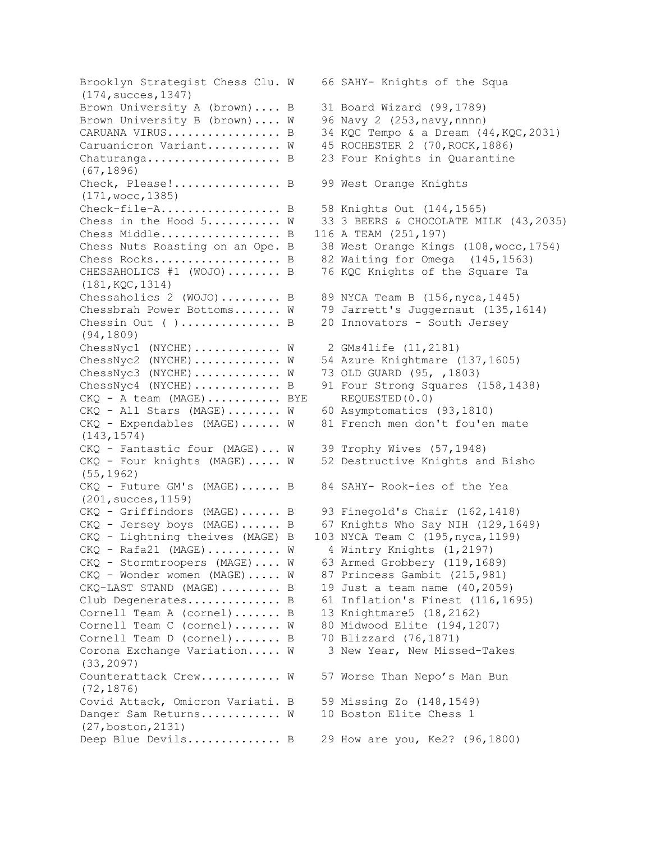Brooklyn Strategist Chess Clu. W 66 SAHY- Knights of the Squa (174,succes,1347) Brown University A (brown).... B 31 Board Wizard (99,1789) Brown University B (brown).... W 96 Navy 2 (253, navy, nnnn) CARUANA VIRUS................. B 34 KQC Tempo & a Dream (44,KQC,2031) Caruanicron Variant........... W 45 ROCHESTER 2 (70, ROCK, 1886) Chaturanga...................... B 23 Four Knights in Quarantine (67,1896) Check, Please!................ B 99 West Orange Knights (171,wocc,1385) Check-file-A.................. B 58 Knights Out (144,1565) Chess in the Hood  $5 \ldots \ldots \ldots$  W 33 3 BEERS & CHOCOLATE MILK (43,2035) Chess Middle.................. B 116 A TEAM (251,197) Chess Nuts Roasting on an Ope. B 38 West Orange Kings (108,wocc,1754) Chess Rocks...................... B 82 Waiting for Omega (145,1563) CHESSAHOLICS #1 (WOJO)........ B 76 KQC Knights of the Square Ta (181,KQC,1314) Chessaholics 2 (WOJO)......... B 89 NYCA Team B (156,nyca,1445) Chessbrah Power Bottoms....... W 79 Jarrett's Juggernaut (135,1614) Chessin Out ( )................. B 20 Innovators - South Jersey (94,1809) ChessNyc1 (NYCHE).............  $W$  2 GMs4life (11,2181) ChessNyc2 (NYCHE)............ W 54 Azure Knightmare (137,1605) ChessNyc3 (NYCHE)............. W 73 OLD GUARD (95, ,1803) ChessNyc4 (NYCHE)............. B 91 Four Strong Squares (158,1438) CKQ - A team (MAGE)........... BYE REQUESTED(0.0) CKQ - All Stars (MAGE)........ W 60 Asymptomatics (93,1810) CKQ - Expendables (MAGE)...... W 81 French men don't fou'en mate (143,1574) CKQ - Fantastic four (MAGE)... W 39 Trophy Wives (57,1948) CKQ - Four knights (MAGE)..... W 52 Destructive Knights and Bisho (55,1962) CKQ - Future GM's (MAGE)...... B 84 SAHY- Rook-ies of the Yea (201,succes,1159) CKQ - Griffindors (MAGE)...... B 93 Finegold's Chair (162,1418) CKQ - Jersey boys (MAGE)...... B 67 Knights Who Say NIH (129,1649) CKQ - Lightning theives (MAGE) B 103 NYCA Team C (195,nyca,1199)  $CKQ - RAfa21$  (MAGE).......... W 4 Wintry Knights (1,2197) CKQ - Stormtroopers (MAGE).... W 63 Armed Grobbery (119,1689) CKQ - Wonder women (MAGE)..... W 87 Princess Gambit (215,981) CKQ-LAST STAND (MAGE)......... B 19 Just a team name (40,2059) Club Degenerates.............. B 61 Inflation's Finest (116,1695) Cornell Team A (cornel)....... B 13 Knightmare5 (18,2162) Cornell Team C (cornel)....... W 80 Midwood Elite (194,1207) Cornell Team D (cornel)....... B 70 Blizzard (76,1871) Corona Exchange Variation..... W 3 New Year, New Missed-Takes (33,2097) Counterattack Crew........... W 57 Worse Than Nepo's Man Bun (72,1876) Covid Attack, Omicron Variati. B 59 Missing Zo (148,1549) Danger Sam Returns........... W 10 Boston Elite Chess 1 (27,boston,2131) Deep Blue Devils............... B 29 How are you, Ke2? (96,1800)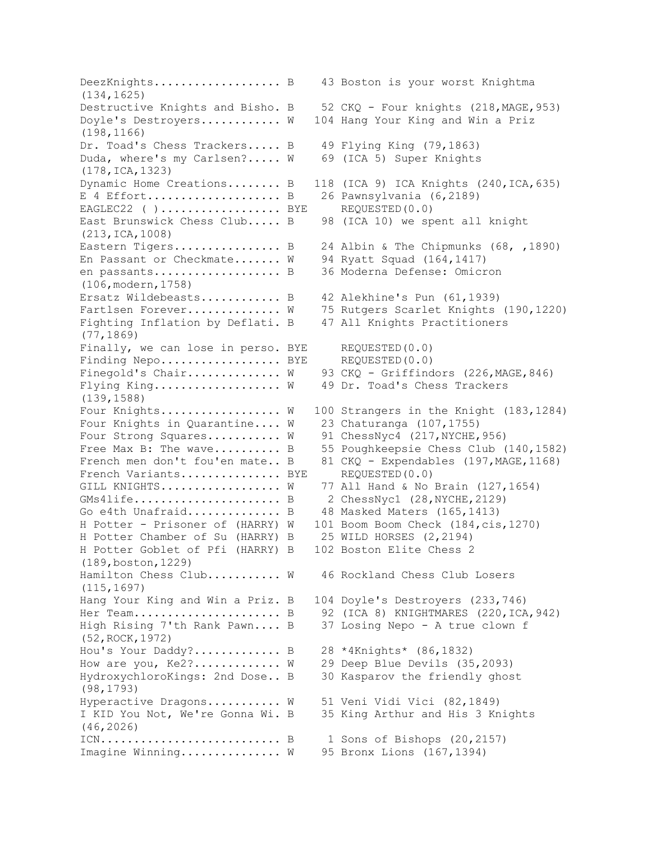DeezKnights.................... B 43 Boston is your worst Knightma (134,1625) Destructive Knights and Bisho. B 52 CKQ - Four knights (218, MAGE, 953) Doyle's Destroyers............ W 104 Hang Your King and Win a Priz (198,1166) Dr. Toad's Chess Trackers..... B 49 Flying King (79,1863) Duda, where's my Carlsen?..... W 69 (ICA 5) Super Knights (178,ICA,1323) Dynamic Home Creations........ B 118 (ICA 9) ICA Knights (240, ICA, 635) E 4 Effort..................... B 26 Pawnsylvania (6,2189) EAGLEC22 ( )........................ BYE REQUESTED(0.0) East Brunswick Chess Club..... B 98 (ICA 10) we spent all knight (213,ICA,1008) Eastern Tigers................. B 24 Albin & The Chipmunks (68, ,1890) En Passant or Checkmate....... W 94 Ryatt Squad (164,1417) en passants..................... B 36 Moderna Defense: Omicron (106,modern,1758) Ersatz Wildebeasts............ B 42 Alekhine's Pun (61,1939) Fartlsen Forever............. W 75 Rutgers Scarlet Knights (190,1220) Fighting Inflation by Deflati. B 47 All Knights Practitioners (77,1869) Finally, we can lose in perso. BYE REQUESTED(0.0) Finding Nepo.................... BYE REQUESTED(0.0) Finegold's Chair............. W 93 CKQ - Griffindors (226, MAGE, 846) Flying King.................. W 49 Dr. Toad's Chess Trackers (139,1588) Four Knights................. W 100 Strangers in the Knight (183,1284) Four Knights in Quarantine.... W 23 Chaturanga (107,1755) Four Strong Squares.......... W 91 ChessNyc4 (217, NYCHE, 956) Free Max B: The wave.......... B 55 Poughkeepsie Chess Club (140,1582) French men don't fou'en mate.. B 81 CKQ - Expendables (197, MAGE, 1168) French Variants............... BYE REQUESTED(0.0) GILL KNIGHTS..................  $W$  77 All Hand & No Brain (127,1654) GMs4life...................... B 2 ChessNyc1 (28,NYCHE,2129) Go e4th Unafraid.............. B 48 Masked Maters (165,1413) H Potter - Prisoner of (HARRY) W 101 Boom Boom Check (184,cis,1270) H Potter Chamber of Su (HARRY) B 25 WILD HORSES (2,2194) H Potter Goblet of Pfi (HARRY) B 102 Boston Elite Chess 2 (189,boston,1229) Hamilton Chess Club.......... W 46 Rockland Chess Club Losers (115,1697) Hang Your King and Win a Priz. B 104 Doyle's Destroyers (233,746) Her Team...................... B 92 (ICA 8) KNIGHTMARES (220,ICA,942) High Rising 7'th Rank Pawn.... B 37 Losing Nepo - A true clown f (52,ROCK,1972) Hou's Your Daddy?............. B 28 \*4Knights\* (86,1832) How are you, Ke2?............ W 29 Deep Blue Devils (35,2093) HydroxychloroKings: 2nd Dose.. B 30 Kasparov the friendly ghost (98,1793) Hyperactive Dragons........... W 51 Veni Vidi Vici (82,1849) I KID You Not, We're Gonna Wi. B 35 King Arthur and His 3 Knights (46,2026) ICN........................... B 1 Sons of Bishops (20,2157) Imagine Winning.............. W 95 Bronx Lions (167,1394)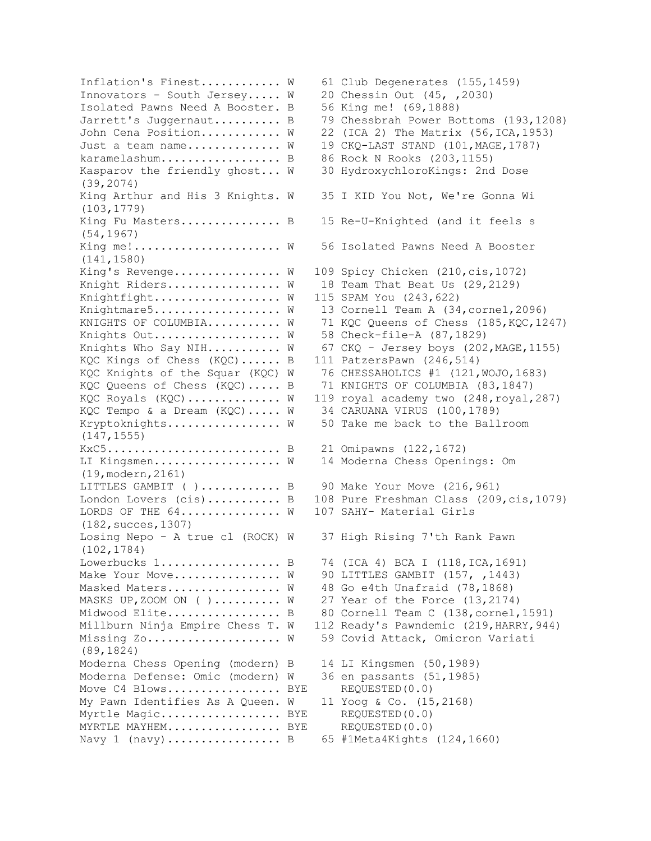Inflation's Finest........... W 61 Club Degenerates (155,1459) Innovators - South Jersey..... W 20 Chessin Out (45, ,2030) Isolated Pawns Need A Booster. B 56 King me! (69,1888) Jarrett's Juggernaut.......... B 79 Chessbrah Power Bottoms (193,1208) John Cena Position........... W 22 (ICA 2) The Matrix (56, ICA, 1953) Just a team name............. W 19 CKQ-LAST STAND (101, MAGE, 1787) karamelashum..................... B 86 Rock N Rooks (203,1155) Kasparov the friendly ghost... W 30 HydroxychloroKings: 2nd Dose (39,2074) King Arthur and His 3 Knights. W 35 I KID You Not, We're Gonna Wi (103,1779) King Fu Masters................ B 15 Re-U-Knighted (and it feels s (54,1967) King me!...................... W 56 Isolated Pawns Need A Booster (141,1580) King's Revenge............... W 109 Spicy Chicken (210,cis,1072) Knight Riders................ W 18 Team That Beat Us (29,2129) Knightfight.................. W 115 SPAM You (243,622) Knightmare5.................. W 13 Cornell Team A (34, cornel, 2096) KNIGHTS OF COLUMBIA.......... W 71 KQC Queens of Chess (185, KQC, 1247) Knights Out................... W 58 Check-file-A (87,1829) Knights Who Say NIH........... W 67 CKQ - Jersey boys (202, MAGE, 1155) KQC Kings of Chess (KQC)...... B 111 PatzersPawn (246,514) KQC Knights of the Squar (KQC) W 76 CHESSAHOLICS #1 (121,WOJO,1683) KQC Queens of Chess (KQC)..... B 71 KNIGHTS OF COLUMBIA (83,1847) KQC Royals (KQC)............. W 119 royal academy two (248, royal, 287) KQC Tempo & a Dream (KQC)..... W 34 CARUANA VIRUS (100,1789) Kryptoknights................ W 50 Take me back to the Ballroom (147,1555) KxC5................................. B 21 Omipawns (122,1672) LI Kingsmen.................. W 14 Moderna Chess Openings: Om (19,modern,2161) LITTLES GAMBIT ( )............ B 90 Make Your Move (216,961) London Lovers (cis)........... B 108 Pure Freshman Class (209, cis, 1079) LORDS OF THE  $64$ .............. W 107 SAHY- Material Girls (182,succes,1307) Losing Nepo - A true cl (ROCK) W 37 High Rising 7'th Rank Pawn (102,1784) Lowerbucks 1.................. B 74 (ICA 4) BCA I (118,ICA,1691) Make Your Move................ W 90 LITTLES GAMBIT (157, ,1443) Masked Maters................. W 48 Go e4th Unafraid (78,1868) MASKS UP, ZOOM ON ( )......... W 27 Year of the Force (13,2174) Midwood Elite................... B 80 Cornell Team C (138, cornel, 1591) Millburn Ninja Empire Chess T. W 112 Ready's Pawndemic (219,HARRY,944) Missing Zo.................... W 59 Covid Attack, Omicron Variati (89,1824) Moderna Chess Opening (modern) B 14 LI Kingsmen (50,1989) Moderna Defense: Omic (modern) W 36 en passants (51,1985) Move C4 Blows................... BYE REQUESTED(0.0) My Pawn Identifies As A Queen. W 11 Yoog & Co. (15,2168) Myrtle Magic................... BYE REQUESTED(0.0) MYRTLE MAYHEM................... BYE REQUESTED(0.0) Navy 1 (navy)................. B 65 #1Meta4Kights (124,1660)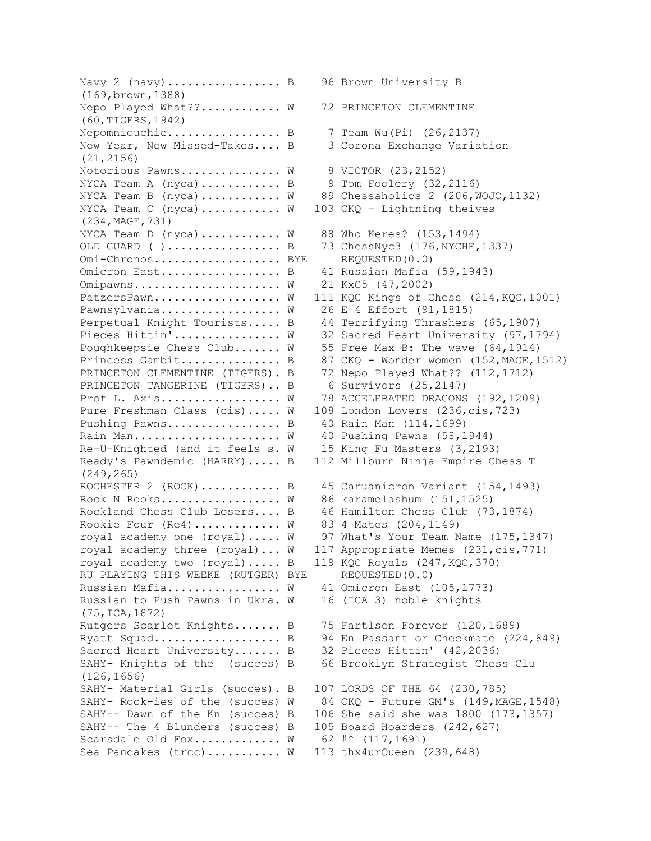Navy 2 (navy).................. B 96 Brown University B (169,brown,1388) Nepo Played What??........... W 72 PRINCETON CLEMENTINE (60,TIGERS,1942) Nepomniouchie................. B 7 Team Wu(Pi) (26,2137) New Year, New Missed-Takes.... B 3 Corona Exchange Variation (21,2156) Notorious Pawns...............  $W$  8 VICTOR (23,2152) NYCA Team A  $(nyca)$ ............. B 9 Tom Foolery  $(32,2116)$ NYCA Team B (nyca).......... W 89 Chessaholics 2 (206, WOJO, 1132) NYCA Team C (nyca)........... W 103 CKQ - Lightning theives (234,MAGE,731) NYCA Team D (nyca)........... W 88 Who Keres? (153,1494) OLD GUARD ( )................. B 73 ChessNyc3 (176,NYCHE,1337) Omi-Chronos.......................... BYE REQUESTED(0.0) Omicron East.................. B 41 Russian Mafia (59,1943) Omipawns...................... W 21 KxC5 (47,2002) PatzersPawn................... W 111 KQC Kings of Chess (214, KQC, 1001) Pawnsylvania................. W 26 E 4 Effort (91,1815) Perpetual Knight Tourists..... B 44 Terrifying Thrashers (65,1907) Pieces Hittin'............... W 32 Sacred Heart University (97,1794) Poughkeepsie Chess Club....... W 55 Free Max B: The wave (64,1914) Princess Gambit............... B 87 CKQ - Wonder women (152, MAGE, 1512) PRINCETON CLEMENTINE (TIGERS). B 72 Nepo Played What?? (112,1712) PRINCETON TANGERINE (TIGERS).. B 6 Survivors (25,2147) Prof L. Axis.................. W 78 ACCELERATED DRAGONS (192,1209) Pure Freshman Class (cis)..... W 108 London Lovers (236,cis,723) Pushing Pawns.................. B 40 Rain Man (114,1699) Rain Man...................... W 40 Pushing Pawns (58,1944) Re-U-Knighted (and it feels s. W 15 King Fu Masters (3,2193) Ready's Pawndemic (HARRY)..... B 112 Millburn Ninja Empire Chess T (249,265) ROCHESTER 2 (ROCK)............ B 45 Caruanicron Variant (154,1493) Rock N Rooks................. W 86 karamelashum (151,1525) Rockland Chess Club Losers.... B 46 Hamilton Chess Club (73,1874) Rookie Four (Re4)............ W 83 4 Mates (204,1149) royal academy one (royal)..... W 97 What's Your Team Name (175,1347) royal academy three  $(royal)...W 117$  Appropriate Memes  $(231, cis, 771)$ royal academy two (royal)..... B 119 KQC Royals (247,KQC,370) RU PLAYING THIS WEEKE (RUTGER) BYE REQUESTED(0.0) Russian Mafia................. W 41 Omicron East (105,1773) Russian to Push Pawns in Ukra. W 16 (ICA 3) noble knights (75,ICA,1872) Rutgers Scarlet Knights....... B 75 Fartlsen Forever (120,1689) Ryatt Squad......................... B 94 En Passant or Checkmate (224,849) Sacred Heart University....... B 32 Pieces Hittin' (42,2036) SAHY- Knights of the (succes) B 66 Brooklyn Strategist Chess Clu (126,1656) SAHY- Material Girls (succes). B 107 LORDS OF THE 64 (230,785) SAHY- Rook-ies of the (succes) W 84 CKQ - Future GM's (149, MAGE, 1548) SAHY-- Dawn of the Kn (succes) B 106 She said she was 1800 (173,1357) SAHY-- The 4 Blunders (succes) B 105 Board Hoarders (242,627) Scarsdale Old Fox.............  $W$  62 #^ (117,1691) Sea Pancakes (trcc).......... W 113 thx4urQueen (239,648)